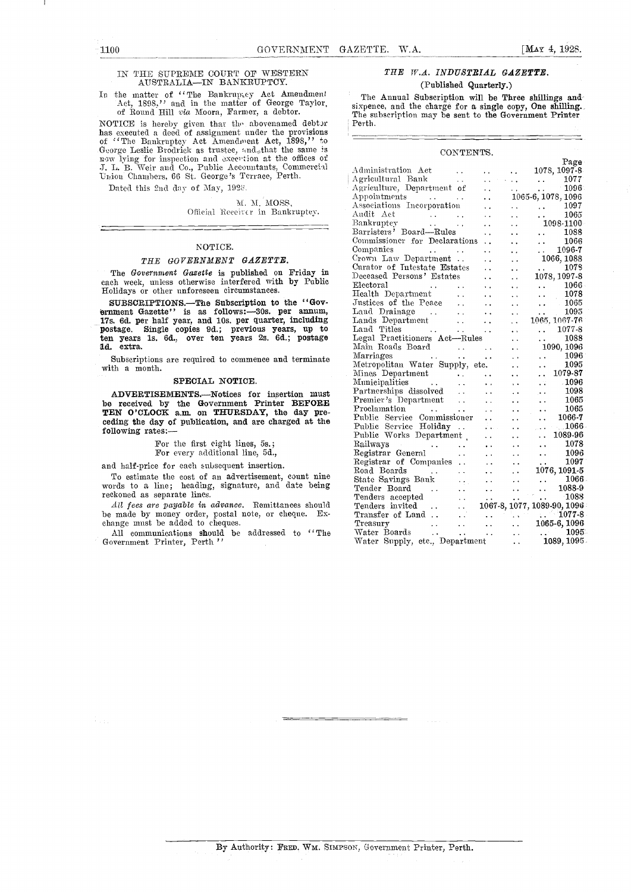#### IN THE SUPREME COURT OF WESTERN AUSTRALIA-IN BANKRUPTCY.

NOTICE is hereby given that the abovenamed debtor  $\begin{array}{|l|} \hline \text{Perth.} \\ \hline \text{has executed a deed of assignment under the provisions} \\ \hline \text{of 'The Bankrupty' Act Amendment Act. 1898, ' to George Leslie Brodick as trusted, tud}_\text{other.} \end{array} \begin{array}{|l|} \hline \text{Perth.} \\ \hline \text{George Leslie Brodick as trusted, tud}_\text{other.} \end{array} \begin{array}{|l|} \hline \text{Perth.} \\ \hline \text{more to be a new high of the same$ Union Chambers, 66 St. George 's Terrace, Perth.

Dated this 2nd day of May, 192.

M. Al. MOSS, Official Receiver in Bankruptey.

#### NOTICE.

#### THE GOVERNMENT GAZETTE.

The Government Gazette is published on Friday in each week, unless otherwise interfered with by Public Holidays or other unforeseen circumstances.

SUBSCRIPTIONS.-The Subscription to the "Government Gazette" is as follows:-30s. per annum, 17s. 6d. per half year, and 10s. per quarter, including postage. Single copies 9d.; previous years, up to Land ten years 1s. 6d., over ten years 2s. 6d.; postage Leg Id. extra.

Subscriptions are required to commence and terminate with a month.

#### SPECIAL NOTICE.

ADVERTISEMENTS.--Notices for insertion must be received by the Government Printer BEFORE  $\frac{Premier}{Preolom}$ TEN O'CLOCK a.m. on THURSDAY, the day pre-<br>ceding the day of publication, and are charged at the  $\frac{\text{P100}}{\text{P01}}$ ceding the day of publication, and are charged at the following rates:-

### For the first eight lines, 5s.; For every additional line, 5d.,

and half-price for each subsequent insertion.

To estimate the cost of an advertisement, count nine words to a line; heading, signature, and date being reckoned as separate lines.

All fees are payable in advance. Remittances should be made by money order, postal note, or cheque. Exchange must be added to cheques.

All communications should be addressed to "The Government Printer, Perth "

#### THE W.A. INDUSTRIAL GAZETTE. (Published Quarterly.)

In the matter of "The Bankruptcy Act Amendment" The Annual Subscription will be Three shillings and Act, 1898," and in the matter of George Taylor, sixpence, and Subscription will be Three shillings and of Round Hill via M The Annual Subscription will be Three shillings and The subscription may be sent to the Government Printer Perth.

#### CONTENTS.

|                                                                                                                                                                                                                                                    |                      |                               | Page                                                                                                                       |
|----------------------------------------------------------------------------------------------------------------------------------------------------------------------------------------------------------------------------------------------------|----------------------|-------------------------------|----------------------------------------------------------------------------------------------------------------------------|
| Administration Act<br>and the second services of                                                                                                                                                                                                   |                      | $\mathbf{L}$                  | 1078, 1097-8                                                                                                               |
| $\begin{tabular}{lcccccc} {\it Agriculture,} Bank & . & . & . & . & . & . & 1077 \\ {\it Agriculture, Department of & . & . & . & . & . & 1096 \\ {\it Appointments} & . & . & . & . & . & . & 1065-6, 1078, 1096 \\ \end{tabular}$                |                      |                               | $\begin{array}{ccc} \ldots & 1077 \ \ldots & 1096 \end{array}$                                                             |
|                                                                                                                                                                                                                                                    |                      |                               |                                                                                                                            |
|                                                                                                                                                                                                                                                    |                      |                               |                                                                                                                            |
| Associations Incorporation                                                                                                                                                                                                                         |                      |                               | $\ldots$ 1097                                                                                                              |
| Audit Act                                                                                                                                                                                                                                          |                      | $\ddot{\phantom{a}}$          | 1065                                                                                                                       |
| $\sim 10^{-11}$                                                                                                                                                                                                                                    | $\sim 10^{-11}$      | $\sim 10^{-1}$                | $1098 - 1100$                                                                                                              |
| Barristers' Board-Rules                                                                                                                                                                                                                            | $\ddot{\phantom{0}}$ | $\ddot{\phantom{0}}$          | $\ldots$ 1088                                                                                                              |
| Commissioner for Declarations                                                                                                                                                                                                                      |                      | $\ddot{\phantom{a}}$          | $1066\,$<br>$\cdots$                                                                                                       |
| Companies<br>and the state of the state of the                                                                                                                                                                                                     |                      | ÷.                            | $\frac{1096}{7}$                                                                                                           |
| Crown Law Department                                                                                                                                                                                                                               |                      | $\ddot{\phantom{a}}$          | 1066, 1088                                                                                                                 |
|                                                                                                                                                                                                                                                    |                      | $\ddot{\phantom{a}}$          | $\ldots$ 1078                                                                                                              |
|                                                                                                                                                                                                                                                    |                      | $\ddot{\phantom{a}}$          | 1078, 1097-8                                                                                                               |
| Curator of Intestate Estates<br>Deceased Persons' Estates<br>Electoral                                                                                                                                                                             |                      | $\sim$ $\sim$                 | $\frac{1066}{1078}$                                                                                                        |
|                                                                                                                                                                                                                                                    |                      | $\sim$ $\sim$                 |                                                                                                                            |
|                                                                                                                                                                                                                                                    |                      | $\ddotsc$                     | $\frac{1078}{1065}$                                                                                                        |
|                                                                                                                                                                                                                                                    |                      |                               | $\mathbf{A}$<br>1095                                                                                                       |
|                                                                                                                                                                                                                                                    |                      |                               | 1065, 1067-76                                                                                                              |
| Land Dramage<br>Lands Department<br>Land Titles<br>Contains Actor Actor of Section 1, 1996                                                                                                                                                         |                      |                               |                                                                                                                            |
| Legal Practitioners Act—Rules                                                                                                                                                                                                                      |                      | $\sim$ $\sim$                 | $\begin{array}{ccc}\n\cdot & 1077-8 \\ \cdot & 1088\n\end{array}$                                                          |
| $\mathcal{L}_{\text{max}}$ and $\mathcal{L}_{\text{max}}$ and $\mathcal{L}_{\text{max}}$<br>Main Roads Board                                                                                                                                       |                      |                               | 1090, 1096                                                                                                                 |
| Marriages                                                                                                                                                                                                                                          |                      | $\sim 10^7$                   |                                                                                                                            |
| Metropolitan Water Supply, etc.                                                                                                                                                                                                                    |                      |                               | $\begin{array}{ccc}\n\cdot & 1096 \\ \cdot & 1095\n\end{array}$                                                            |
| Mines Department                                                                                                                                                                                                                                   |                      | $\frac{1}{2}$ , $\frac{1}{2}$ | 1079-87<br>$\ddotsc$                                                                                                       |
|                                                                                                                                                                                                                                                    |                      |                               | 1096                                                                                                                       |
| Partnerships dissolved<br>Premier's Department<br>Premier's Department<br>Proclamation<br>Proclamation<br>Commissioner<br>Public Service Commissioner<br>Public Service Holiday<br>Public Service Holiday<br>Public Service Holiday<br>Public Work |                      |                               | $\sim 43$                                                                                                                  |
|                                                                                                                                                                                                                                                    |                      |                               |                                                                                                                            |
|                                                                                                                                                                                                                                                    |                      |                               |                                                                                                                            |
|                                                                                                                                                                                                                                                    |                      |                               |                                                                                                                            |
|                                                                                                                                                                                                                                                    |                      |                               |                                                                                                                            |
|                                                                                                                                                                                                                                                    |                      |                               |                                                                                                                            |
|                                                                                                                                                                                                                                                    |                      |                               |                                                                                                                            |
| Railways<br>Registrar General<br>Registrar of Companies                                                                                                                                                                                            |                      |                               | $\begin{array}{ccc} \cdots & \cdots & 1078 \\ \cdots & \cdots & 1096 \end{array}$                                          |
|                                                                                                                                                                                                                                                    |                      |                               |                                                                                                                            |
|                                                                                                                                                                                                                                                    |                      |                               | $\begin{array}{ccc} \cdot & \cdot & \cdot & 1096 \ \cdot & \cdot & \cdot & 1097 \ \cdot & \cdot & 1076,1091-5 \end{array}$ |
|                                                                                                                                                                                                                                                    |                      |                               |                                                                                                                            |
| Road Boards<br>State Savings Bank<br>Tender Board<br>Contact Carrier Contact March 2006<br>Tender Board<br>Contact Contact Contact Contact Contact Contact Contact Contact Contact Contact Contact Contact Contact Contact Contact Conta           |                      |                               |                                                                                                                            |
|                                                                                                                                                                                                                                                    |                      |                               |                                                                                                                            |
|                                                                                                                                                                                                                                                    |                      |                               |                                                                                                                            |
|                                                                                                                                                                                                                                                    |                      |                               |                                                                                                                            |
| Tender Board<br>Tenders accepted<br>Tenders invited<br>Tenders invited<br>Transfer of Land<br>Tens and Allen Corp. 1087-8, 1077, 1089-90, 1096<br>Transfer of Land<br>Treasury<br>Corp. 1065-6, 1096                                               |                      |                               |                                                                                                                            |
|                                                                                                                                                                                                                                                    |                      |                               |                                                                                                                            |
|                                                                                                                                                                                                                                                    |                      |                               |                                                                                                                            |
| Water Supply, etc., Department                                                                                                                                                                                                                     |                      | $\sim$ $\sim$                 | 1089,1095                                                                                                                  |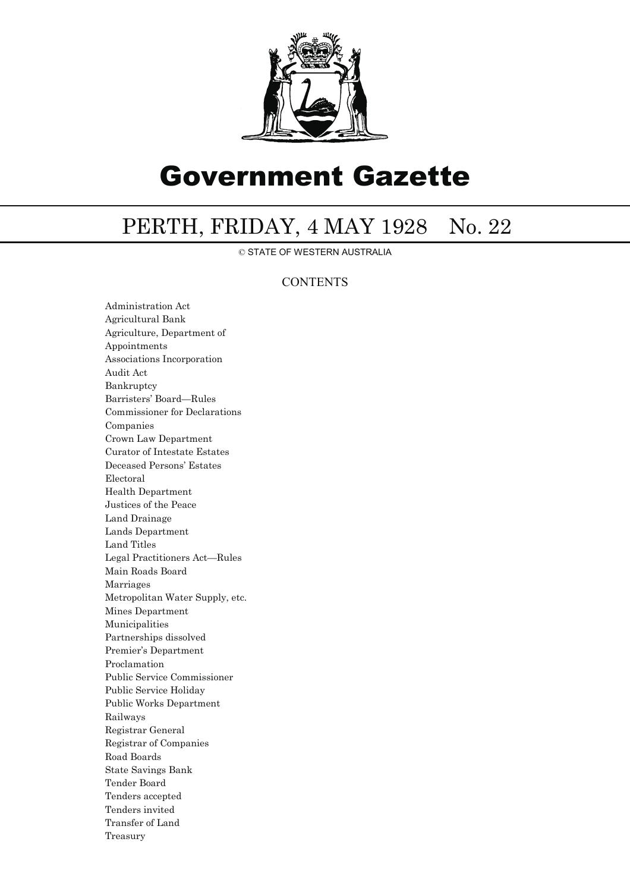

# Government Gazette

## PERTH, FRIDAY, 4 MAY 1928 No. 22

© STATE OF WESTERN AUSTRALIA

#### **CONTENTS**

Administration Act Agricultural Bank Agriculture, Department of Appointments Associations Incorporation Audit Act Bankruptcy Barristers' Board—Rules Commissioner for Declarations Companies Crown Law Department Curator of Intestate Estates Deceased Persons' Estates Electoral Health Department Justices of the Peace Land Drainage Lands Department Land Titles Legal Practitioners Act—Rules Main Roads Board Marriages Metropolitan Water Supply, etc. Mines Department Municipalities Partnerships dissolved Premier's Department Proclamation Public Service Commissioner Public Service Holiday Public Works Department Railways Registrar General Registrar of Companies Road Boards State Savings Bank Tender Board Tenders accepted Tenders invited Transfer of Land Treasury